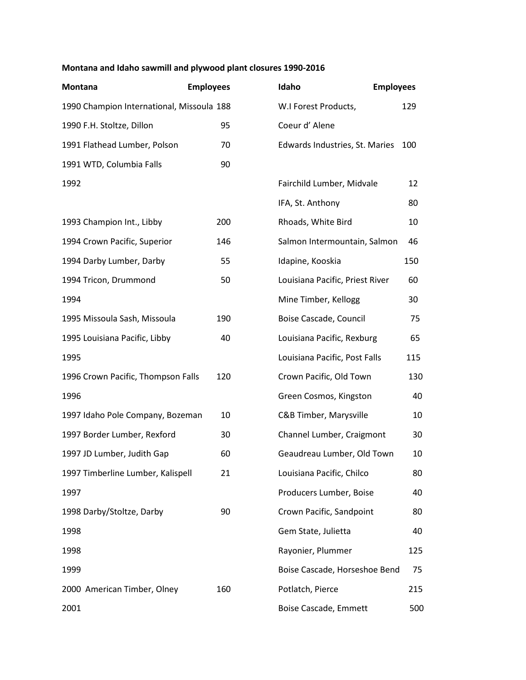## **Montana and Idaho sawmill and plywood plant closures 1990-2016**

| Montana                                   | <b>Employees</b> | Idaho |                                 | <b>Employees</b> |
|-------------------------------------------|------------------|-------|---------------------------------|------------------|
| 1990 Champion International, Missoula 188 |                  |       | W.I Forest Products,            | 129              |
| 1990 F.H. Stoltze, Dillon                 | 95               |       | Coeur d'Alene                   |                  |
| 1991 Flathead Lumber, Polson              | 70               |       | Edwards Industries, St. Maries  | 100              |
| 1991 WTD, Columbia Falls                  | 90               |       |                                 |                  |
| 1992                                      |                  |       | Fairchild Lumber, Midvale       | 12               |
|                                           |                  |       | IFA, St. Anthony                | 80               |
| 1993 Champion Int., Libby                 | 200              |       | Rhoads, White Bird              | 10               |
| 1994 Crown Pacific, Superior              | 146              |       | Salmon Intermountain, Salmon    | 46               |
| 1994 Darby Lumber, Darby                  | 55               |       | Idapine, Kooskia                | 150              |
| 1994 Tricon, Drummond                     | 50               |       | Louisiana Pacific, Priest River | 60               |
| 1994                                      |                  |       | Mine Timber, Kellogg            | 30               |
| 1995 Missoula Sash, Missoula              | 190              |       | Boise Cascade, Council          | 75               |
| 1995 Louisiana Pacific, Libby             | 40               |       | Louisiana Pacific, Rexburg      | 65               |
| 1995                                      |                  |       | Louisiana Pacific, Post Falls   | 115              |
| 1996 Crown Pacific, Thompson Falls        | 120              |       | Crown Pacific, Old Town         | 130              |
| 1996                                      |                  |       | Green Cosmos, Kingston          | 40               |
| 1997 Idaho Pole Company, Bozeman          | 10               |       | C&B Timber, Marysville          | 10               |
| 1997 Border Lumber, Rexford               | 30               |       | Channel Lumber, Craigmont       | 30               |
| 1997 JD Lumber, Judith Gap                | 60               |       | Geaudreau Lumber, Old Town      | 10               |
| 1997 Timberline Lumber, Kalispell         | 21               |       | Louisiana Pacific, Chilco       | 80               |
| 1997                                      |                  |       | Producers Lumber, Boise         | 40               |
| 1998 Darby/Stoltze, Darby                 | 90               |       | Crown Pacific, Sandpoint        | 80               |
| 1998                                      |                  |       | Gem State, Julietta             | 40               |
| 1998                                      |                  |       | Rayonier, Plummer               | 125              |
| 1999                                      |                  |       | Boise Cascade, Horseshoe Bend   | 75               |
| 2000 American Timber, Olney               | 160              |       | Potlatch, Pierce                | 215              |
| 2001                                      |                  |       | Boise Cascade, Emmett           | 500              |